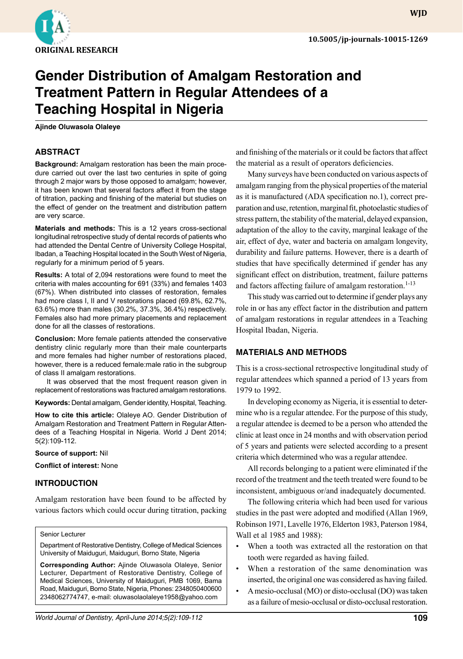

**WJD**

# **Gender Distribution of Amalgam Restoration and Treatment Pattern in Regular Attendees of a Teaching Hospital in Nigeria**

**Ajinde Oluwasola Olaleye**

## **ABSTRACT**

**Background:** Amalgam restoration has been the main procedure carried out over the last two centuries in spite of going through 2 major wars by those opposed to amalgam; however, it has been known that several factors affect it from the stage of titration, packing and finishing of the material but studies on the effect of gender on the treatment and distribution pattern are very scarce.

**Materials and methods:** This is a 12 years cross-sectional longitudinal retrospective study of dental records of patients who had attended the Dental Centre of University College Hospital, Ibadan, a Teaching Hospital located in the South West of Nigeria, regularly for a minimum period of 5 years.

**Results:** A total of 2,094 restorations were found to meet the criteria with males accounting for 691 (33%) and females 1403 (67%). When distributed into classes of restoration, females had more class I, II and V restorations placed (69.8%, 62.7%, 63.6%) more than males (30.2%, 37.3%, 36.4%) respectively. Females also had more primary placements and replacement done for all the classes of restorations.

**Conclusion:** More female patients attended the conservative dentistry clinic regularly more than their male counterparts and more females had higher number of restorations placed, however, there is a reduced female:male ratio in the subgroup of class II amalgam restorations.

It was observed that the most frequent reason given in replacement of restorations was fractured amalgam restorations.

**Keywords:** Dental amalgam, Gender identity, Hospital, Teaching.

**How to cite this article:** Olaleye AO. Gender Distribution of Amalgam Restoration and Treatment Pattern in Regular Attendees of a Teaching Hospital in Nigeria. World J Dent 2014; 5(2):109-112.

**Source of support:** Nil

**Conflict of interest:** None

## **INTRODUCTION**

Amalgam restoration have been found to be affected by various factors which could occur during titration, packing

Senior Lecturer

Department of Restorative Dentistry, College of Medical Sciences University of Maiduguri, Maiduguri, Borno State, Nigeria

**Corresponding Author:** Ajinde Oluwasola Olaleye, Senior Lecturer, Department of Restorative Dentistry, College of Medical Sciences, University of Maiduguri, PMB 1069, Bama Road, Maiduguri, Borno State, Nigeria, Phones: 2348050400600 2348062774747, e-mail: oluwasolaolaleye1958@yahoo.com

and finishing of the materials or it could be factors that affect the material as a result of operators deficiencies.

Many surveys have been conducted on various aspects of amalgam ranging from the physical properties of the material as it is manufactured (ADA specification no.1), correct preparation and use, retention, marginal fit, photoelastic studies of stress pattern, the stability of the material, delayed expansion, adaptation of the alloy to the cavity, marginal leakage of the air, effect of dye, water and bacteria on amalgam longevity, durability and failure patterns. However, there is a dearth of studies that have specifically determined if gender has any significant effect on distribution, treatment, failure patterns and factors affecting failure of amalgam restoration.<sup>1-13</sup>

This study was carried out to determine if gender plays any role in or has any effect factor in the distribution and pattern of amalgam restorations in regular attendees in a Teaching Hospital Ibadan, Nigeria.

## **MATERIALS AND METHODs**

This is a cross-sectional retrospective longitudinal study of regular attendees which spanned a period of 13 years from 1979 to 1992.

In developing economy as Nigeria, it is essential to determine who is a regular attendee. For the purpose of this study, a regular attendee is deemed to be a person who attended the clinic at least once in 24 months and with observation period of 5 years and patients were selected according to a present criteria which determined who was a regular attendee.

All records belonging to a patient were eliminated if the record of the treatment and the teeth treated were found to be inconsistent, ambiguous or/and inadequately documented.

The following criteria which had been used for various studies in the past were adopted and modified (Allan 1969, Robinson 1971, Lavelle 1976, Elderton 1983, Paterson 1984, Wall et al 1985 and 1988):

- When a tooth was extracted all the restoration on that tooth were regarded as having failed.
- When a restoration of the same denomination was inserted, the original one was considered as having failed.
- A mesio-occlusal (MO) or disto-occlusal (DO) was taken as a failure of mesio-occlusal or disto-occlusal restoration.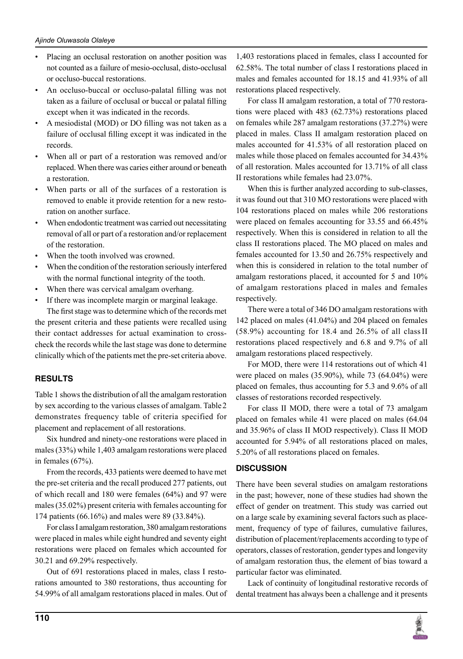- Placing an occlusal restoration on another position was not counted as a failure of mesio-occlusal, disto-occlusal or occluso-buccal restorations.
- An occluso-buccal or occluso-palatal filling was not taken as a failure of occlusal or buccal or palatal filling except when it was indicated in the records.
- A mesiodistal (MOD) or DO filling was not taken as a failure of occlusal filling except it was indicated in the records.
- When all or part of a restoration was removed and/or replaced. When there was caries either around or beneath a restoration.
- When parts or all of the surfaces of a restoration is removed to enable it provide retention for a new restoration on another surface.
- When endodontic treatment was carried out necessitating removal of all or part of a restoration and/or replacement of the restoration.
- When the tooth involved was crowned.
- When the condition of the restoration seriously interfered with the normal functional integrity of the tooth.
- When there was cervical amalgam overhang.
- If there was incomplete margin or marginal leakage. The first stage was to determine which of the records met

the present criteria and these patients were recalled using their contact addresses for actual examination to crosscheck the records while the last stage was done to determine clinically which of the patients met the pre-set criteria above.

## **RESULTs**

Table 1 shows the distribution of all the amalgam restoration by sex according to the various classes of amalgam. Table2 demonstrates frequency table of criteria specified for placement and replacement of all restorations.

Six hundred and ninety-one restorations were placed in males (33%) while 1,403 amalgam restorations were placed in females (67%).

From the records, 433 patients were deemed to have met the pre-set criteria and the recall produced 277 patients, out of which recall and 180 were females (64%) and 97 were males (35.02%) present criteria with females accounting for 174 patients (66.16%) and males were 89 (33.84%).

For class I amalgam restoration, 380 amalgam restorations were placed in males while eight hundred and seventy eight restorations were placed on females which accounted for 30.21 and 69.29% respectively.

Out of 691 restorations placed in males, class I restorations amounted to 380 restorations, thus accounting for 54.99% of all amalgam restorations placed in males. Out of

1,403 restorations placed in females, class I accounted for 62.58%. The total number of class I restorations placed in males and females accounted for 18.15 and 41.93% of all restorations placed respectively.

For class II amalgam restoration, a total of 770 restorations were placed with 483 (62.73%) restorations placed on females while 287 amalgam restorations (37.27%) were placed in males. Class II amalgam restoration placed on males accounted for 41.53% of all restoration placed on males while those placed on females accounted for 34.43% of all restoration. Males accounted for 13.71% of all class II restorations while females had 23.07%.

When this is further analyzed according to sub-classes, it was found out that 310 MO restorations were placed with 104 restorations placed on males while 206 restorations were placed on females accounting for 33.55 and 66.45% respectively. When this is considered in relation to all the class II restorations placed. The MO placed on males and females accounted for 13.50 and 26.75% respectively and when this is considered in relation to the total number of amalgam restorations placed, it accounted for 5 and 10% of amalgam restorations placed in males and females respectively.

There were a total of 346 DO amalgam restorations with 142 placed on males (41.04%) and 204 placed on females  $(58.9\%)$  accounting for 18.4 and 26.5% of all class II restorations placed respectively and 6.8 and 9.7% of all amalgam restorations placed respectively.

For MOD, there were 114 restorations out of which 41 were placed on males (35.90%), while 73 (64.04%) were placed on females, thus accounting for 5.3 and 9.6% of all classes of restorations recorded respectively.

For class II MOD, there were a total of 73 amalgam placed on females while 41 were placed on males (64.04 and 35.96% of class II MOD respectively). Class II MOD accounted for 5.94% of all restorations placed on males, 5.20% of all restorations placed on females.

## **DISCUSSION**

There have been several studies on amalgam restorations in the past; however, none of these studies had shown the effect of gender on treatment. This study was carried out on a large scale by examining several factors such as placement, frequency of type of failures, cumulative failures, distribution of placement/replacements according to type of operators, classes of restoration, gender types and longevity of amalgam restoration thus, the element of bias toward a particular factor was eliminated.

Lack of continuity of longitudinal restorative records of dental treatment has always been a challenge and it presents

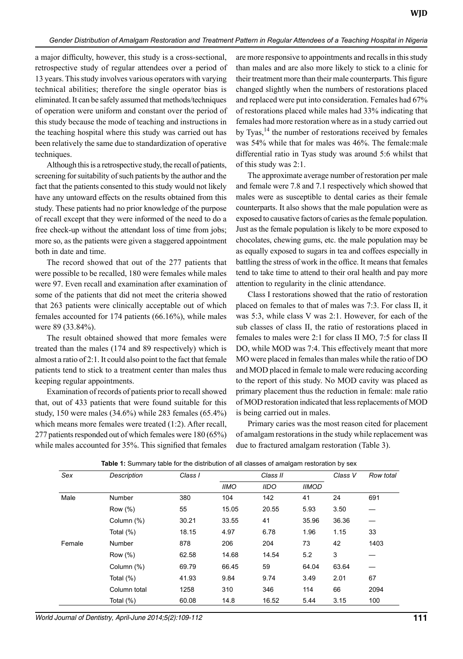a major difficulty, however, this study is a cross-sectional, retrospective study of regular attendees over a period of 13 years. This study involves various operators with varying technical abilities; therefore the single operator bias is eliminated. It can be safely assumed that methods/techniques of operation were uniform and constant over the period of this study because the mode of teaching and instructions in the teaching hospital where this study was carried out has been relatively the same due to standardization of operative techniques.

Although this is a retrospective study, the recall of patients, screening for suitability of such patients by the author and the fact that the patients consented to this study would not likely have any untoward effects on the results obtained from this study. These patients had no prior knowledge of the purpose of recall except that they were informed of the need to do a free check-up without the attendant loss of time from jobs; more so, as the patients were given a staggered appointment both in date and time.

The record showed that out of the 277 patients that were possible to be recalled, 180 were females while males were 97. Even recall and examination after examination of some of the patients that did not meet the criteria showed that 263 patients were clinically acceptable out of which females accounted for 174 patients (66.16%), while males were 89 (33.84%).

The result obtained showed that more females were treated than the males (174 and 89 respectively) which is almost a ratio of 2:1. It could also point to the fact that female patients tend to stick to a treatment center than males thus keeping regular appointments.

Examination of records of patients prior to recall showed that, out of 433 patients that were found suitable for this study, 150 were males (34.6%) while 283 females (65.4%) which means more females were treated (1:2). After recall, 277 patients responded out of which females were 180 (65%) while males accounted for 35%. This signified that females

are more responsive to appointments and recalls in this study than males and are also more likely to stick to a clinic for their treatment more than their male counterparts. This figure changed slightly when the numbers of restorations placed and replaced were put into consideration. Females had 67% of restorations placed while males had 33% indicating that females had more restoration where as in a study carried out by Tyas,<sup>14</sup> the number of restorations received by females was 54% while that for males was 46%. The female:male differential ratio in Tyas study was around 5:6 whilst that of this study was 2:1.

The approximate average number of restoration per male and female were 7.8 and 7.1 respectively which showed that males were as susceptible to dental caries as their female counterparts. It also shows that the male population were as exposed to causative factors of caries as the female population. Just as the female population is likely to be more exposed to chocolates, chewing gums, etc. the male population may be as equally exposed to sugars in tea and coffees especially in battling the stress of work in the office. It means that females tend to take time to attend to their oral health and pay more attention to regularity in the clinic attendance.

Class I restorations showed that the ratio of restoration placed on females to that of males was 7:3. For class II, it was 5:3, while class V was 2:1. However, for each of the sub classes of class II, the ratio of restorations placed in females to males were 2:1 for class II MO, 7:5 for class II DO, while MOD was 7:4. This effectively meant that more MO were placed in females than males while the ratio of DO and MOD placed in female to male were reducing according to the report of this study. No MOD cavity was placed as primary placement thus the reduction in female: male ratio of MOD restoration indicated that less replacements of MOD is being carried out in males.

Primary caries was the most reason cited for placement of amalgam restorations in the study while replacement was due to fractured amalgam restoration (Table 3).

| Sex    | Description   | Class I | Class II    |             |              | Class V | Row total |
|--------|---------------|---------|-------------|-------------|--------------|---------|-----------|
|        |               |         | <b>IIMO</b> | <b>IIDO</b> | <b>IIMOD</b> |         |           |
| Male   | <b>Number</b> | 380     | 104         | 142         | 41           | 24      | 691       |
|        | Row (%)       | 55      | 15.05       | 20.55       | 5.93         | 3.50    |           |
|        | Column (%)    | 30.21   | 33.55       | 41          | 35.96        | 36.36   |           |
|        | Total $(\%)$  | 18.15   | 4.97        | 6.78        | 1.96         | 1.15    | 33        |
| Female | <b>Number</b> | 878     | 206         | 204         | 73           | 42      | 1403      |
|        | Row (%)       | 62.58   | 14.68       | 14.54       | 5.2          | 3       |           |
|        | Column (%)    | 69.79   | 66.45       | 59          | 64.04        | 63.64   |           |
|        | Total $(\%)$  | 41.93   | 9.84        | 9.74        | 3.49         | 2.01    | 67        |
|        | Column total  | 1258    | 310         | 346         | 114          | 66      | 2094      |
|        | Total (%)     | 60.08   | 14.8        | 16.52       | 5.44         | 3.15    | 100       |

**Table 1:** Summary table for the distribution of all classes of amalgam restoration by sex

*World Journal of Dentistry, April-June 2014;5(2):109-112* **111**